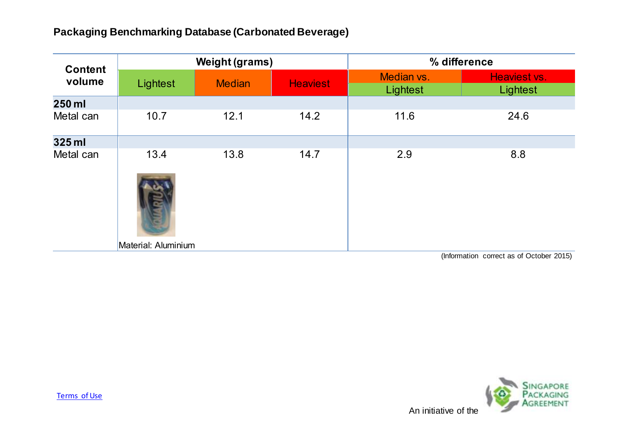| <b>Content</b><br>volume | <b>Weight (grams)</b> |               |                 | % difference                                   |                                                                                                                                                                                                                                                                                                                                    |
|--------------------------|-----------------------|---------------|-----------------|------------------------------------------------|------------------------------------------------------------------------------------------------------------------------------------------------------------------------------------------------------------------------------------------------------------------------------------------------------------------------------------|
|                          | Lightest              | <b>Median</b> | <b>Heaviest</b> | Median vs.<br>Lightest                         | Heaviest vs.<br>Lightest                                                                                                                                                                                                                                                                                                           |
| 250 ml                   |                       |               |                 |                                                |                                                                                                                                                                                                                                                                                                                                    |
| Metal can                | 10.7                  | 12.1          | 14.2            | 11.6                                           | 24.6                                                                                                                                                                                                                                                                                                                               |
| 325 ml                   |                       |               |                 |                                                |                                                                                                                                                                                                                                                                                                                                    |
| Metal can                | 13.4                  | 13.8          | 14.7            | 2.9                                            | 8.8                                                                                                                                                                                                                                                                                                                                |
|                          | Material: Aluminium   |               |                 | $\mathbf{a}$ and $\mathbf{a}$ and $\mathbf{a}$ | $\mathbf{r}$ $\mathbf{r}$ $\mathbf{r}$ $\mathbf{r}$ $\mathbf{r}$ $\mathbf{r}$ $\mathbf{r}$ $\mathbf{r}$ $\mathbf{r}$ $\mathbf{r}$ $\mathbf{r}$ $\mathbf{r}$ $\mathbf{r}$ $\mathbf{r}$ $\mathbf{r}$ $\mathbf{r}$ $\mathbf{r}$ $\mathbf{r}$ $\mathbf{r}$ $\mathbf{r}$ $\mathbf{r}$ $\mathbf{r}$ $\mathbf{r}$ $\mathbf{r}$ $\mathbf{$ |

(Information correct as of October 2015)

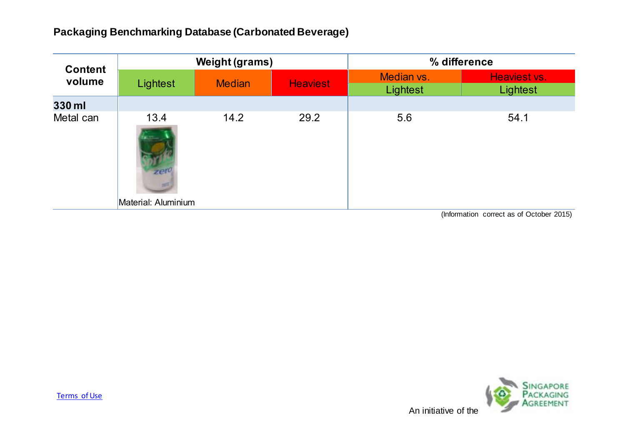| <b>Content</b><br>volume | <b>Weight (grams)</b> |               |                 | % difference           |                          |
|--------------------------|-----------------------|---------------|-----------------|------------------------|--------------------------|
|                          | Lightest              | <b>Median</b> | <b>Heaviest</b> | Median vs.<br>Lightest | Heaviest vs.<br>Lightest |
| 330 ml                   |                       |               |                 |                        |                          |
| Metal can                | 13.4<br>zer           | 14.2          | 29.2            | 5.6                    | 54.1                     |
|                          | Material: Aluminium   |               |                 |                        |                          |

(Information correct as of October 2015)

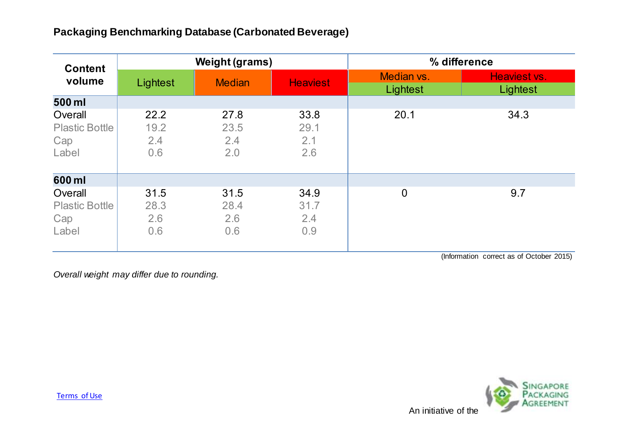| <b>Content</b><br>volume                         | <b>Weight (grams)</b>      |                            |                            | % difference           |                          |
|--------------------------------------------------|----------------------------|----------------------------|----------------------------|------------------------|--------------------------|
|                                                  | Lightest                   | <b>Median</b>              | <b>Heaviest</b>            | Median vs.<br>Lightest | Heaviest vs.<br>Lightest |
| 500 ml                                           |                            |                            |                            |                        |                          |
| Overall<br><b>Plastic Bottle</b><br>Cap<br>Label | 22.2<br>19.2<br>2.4<br>0.6 | 27.8<br>23.5<br>2.4<br>2.0 | 33.8<br>29.1<br>2.1<br>2.6 | 20.1                   | 34.3                     |
| 600 ml                                           |                            |                            |                            |                        |                          |
| Overall<br><b>Plastic Bottle</b><br>Cap<br>Label | 31.5<br>28.3<br>2.6<br>0.6 | 31.5<br>28.4<br>2.6<br>0.6 | 34.9<br>31.7<br>2.4<br>0.9 | $\mathbf 0$            | 9.7                      |

(Information correct as of October 2015)

*Overall weight may differ due to rounding.*